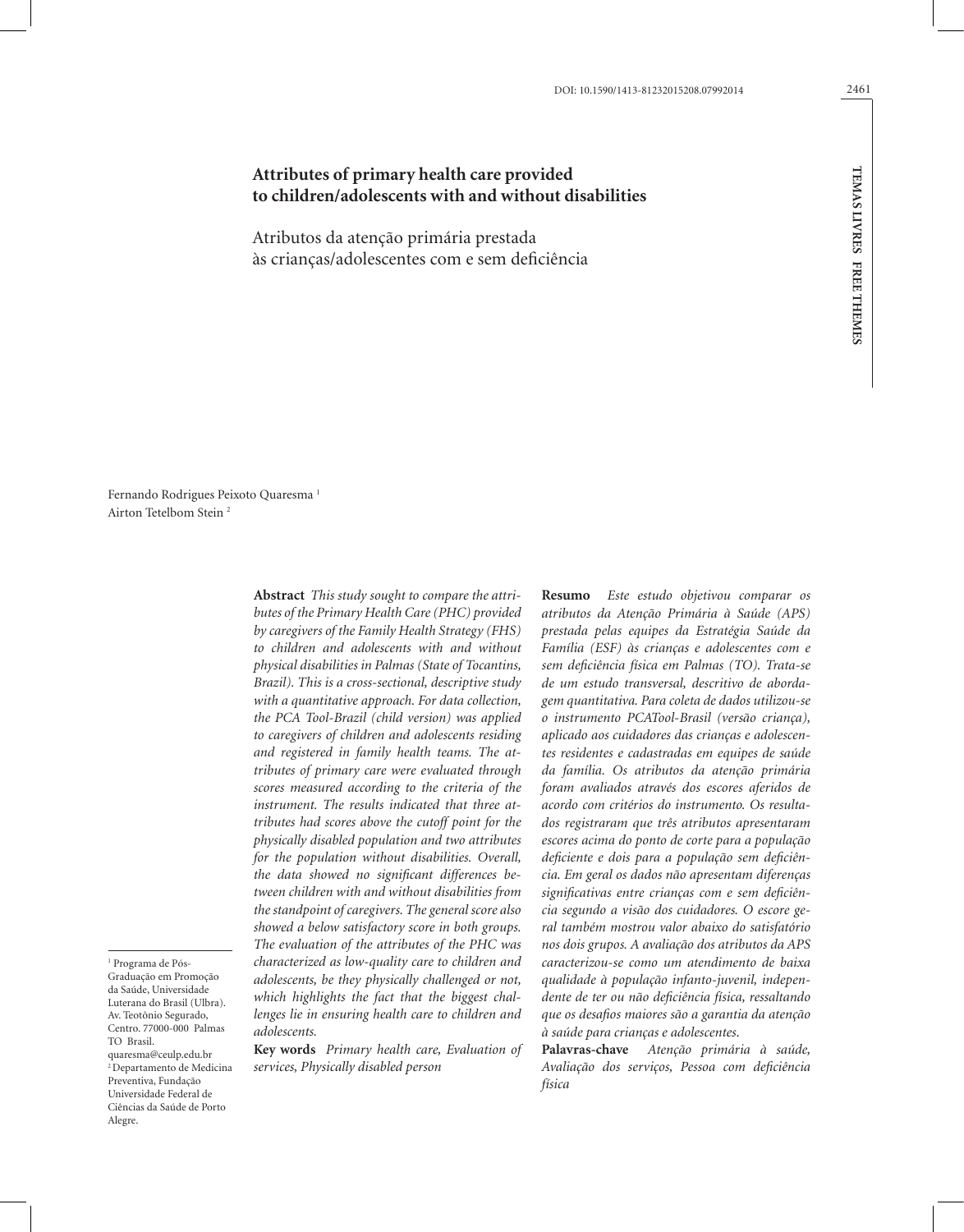# **Attributes of primary health care provided to children/adolescents with and without disabilities**

Atributos da atenção primária prestada às crianças/adolescentes com e sem deficiência

Fernando Rodrigues Peixoto Quaresma 1 Airton Tetelbom Stein 2

> **Abstract** *This study sought to compare the attributes of the Primary Health Care (PHC) provided by caregivers of the Family Health Strategy (FHS) to children and adolescents with and without physical disabilities in Palmas (State of Tocantins, Brazil). This is a cross-sectional, descriptive study with a quantitative approach. For data collection, the PCA Tool-Brazil (child version) was applied to caregivers of children and adolescents residing and registered in family health teams. The attributes of primary care were evaluated through scores measured according to the criteria of the instrument. The results indicated that three attributes had scores above the cutoff point for the physically disabled population and two attributes for the population without disabilities. Overall, the data showed no significant differences between children with and without disabilities from the standpoint of caregivers. The general score also showed a below satisfactory score in both groups. The evaluation of the attributes of the PHC was characterized as low-quality care to children and adolescents, be they physically challenged or not, which highlights the fact that the biggest challenges lie in ensuring health care to children and adolescents.*

Graduação em Promoção da Saúde, Universidade Luterana do Brasil (Ulbra). Av. Teotônio Segurado, Centro. 77000-000 Palmas TO Brasil. quaresma@ceulp.edu.br 2 Departamento de Medicina Preventiva, Fundação Universidade Federal de Ciências da Saúde de Porto Alegre.

1 Programa de Pós-

**Key words** *Primary health care, Evaluation of services, Physically disabled person*

**Resumo** *Este estudo objetivou comparar os atributos da Atenção Primária à Saúde (APS) prestada pelas equipes da Estratégia Saúde da Família (ESF) às crianças e adolescentes com e sem deficiência física em Palmas (TO). Trata-se de um estudo transversal, descritivo de abordagem quantitativa. Para coleta de dados utilizou-se o instrumento PCATool-Brasil (versão criança), aplicado aos cuidadores das crianças e adolescentes residentes e cadastradas em equipes de saúde da família. Os atributos da atenção primária foram avaliados através dos escores aferidos de acordo com critérios do instrumento. Os resultados registraram que três atributos apresentaram escores acima do ponto de corte para a população deficiente e dois para a população sem deficiência. Em geral os dados não apresentam diferenças significativas entre crianças com e sem deficiência segundo a visão dos cuidadores. O escore geral também mostrou valor abaixo do satisfatório nos dois grupos. A avaliação dos atributos da APS caracterizou-se como um atendimento de baixa qualidade à população infanto-juvenil, independente de ter ou não deficiência física, ressaltando que os desafios maiores são a garantia da atenção à saúde para crianças e adolescentes*.

**Palavras-chave** *Atenção primária à saúde, Avaliação dos serviços, Pessoa com deficiência física*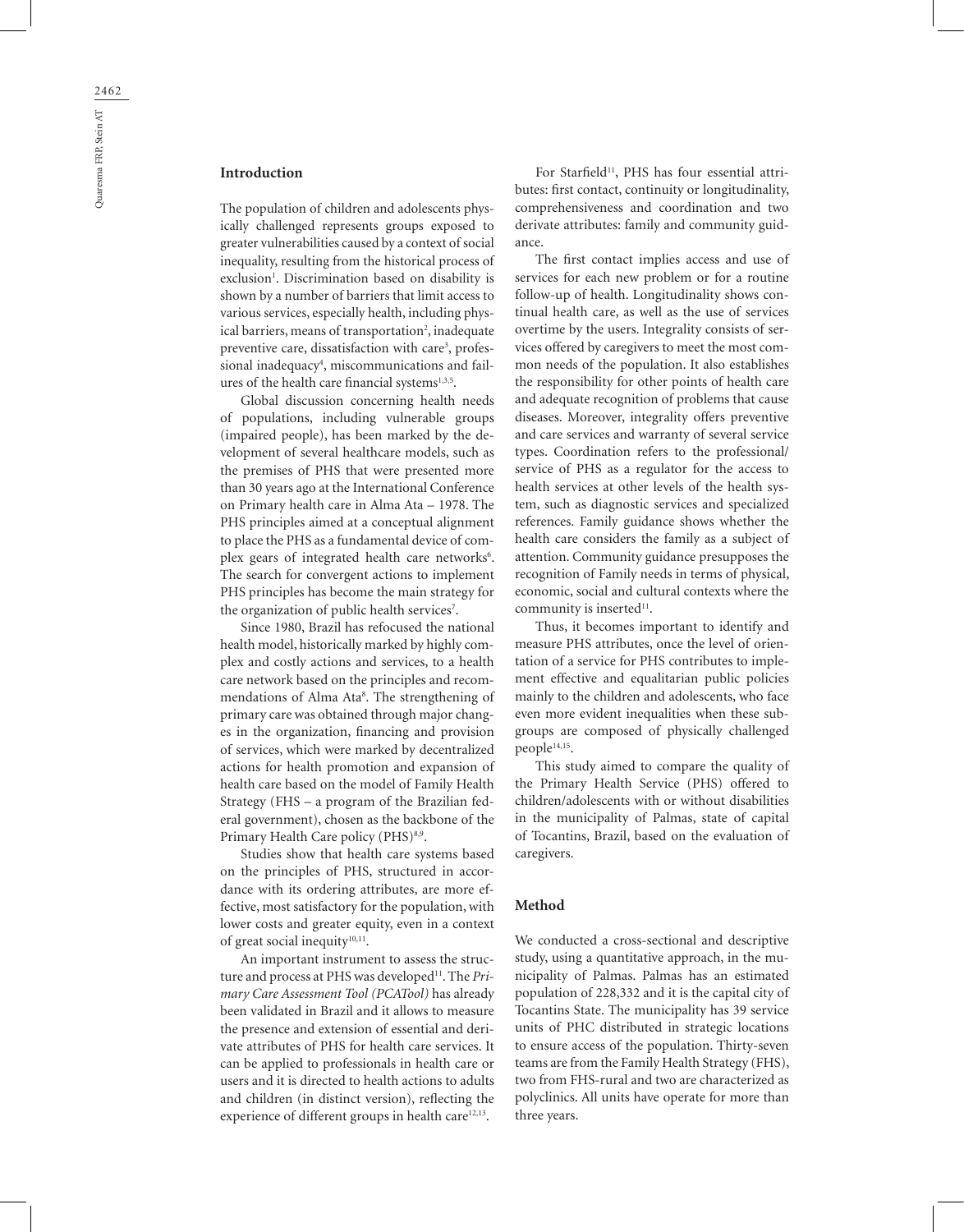## **Introduction**

The population of children and adolescents physically challenged represents groups exposed to greater vulnerabilities caused by a context of social inequality, resulting from the historical process of exclusion<sup>1</sup>. Discrimination based on disability is shown by a number of barriers that limit access to various services, especially health, including physical barriers, means of transportation<sup>2</sup>, inadequate preventive care, dissatisfaction with care<sup>3</sup>, professional inadequacy<sup>4</sup>, miscommunications and failures of the health care financial systems $1,3,5$ .

Global discussion concerning health needs of populations, including vulnerable groups (impaired people), has been marked by the development of several healthcare models, such as the premises of PHS that were presented more than 30 years ago at the International Conference on Primary health care in Alma Ata – 1978. The PHS principles aimed at a conceptual alignment to place the PHS as a fundamental device of complex gears of integrated health care networks<sup>6</sup>. The search for convergent actions to implement PHS principles has become the main strategy for the organization of public health services<sup>7</sup>.

Since 1980, Brazil has refocused the national health model, historically marked by highly complex and costly actions and services, to a health care network based on the principles and recommendations of Alma Ata<sup>8</sup>. The strengthening of primary care was obtained through major changes in the organization, financing and provision of services, which were marked by decentralized actions for health promotion and expansion of health care based on the model of Family Health Strategy (FHS – a program of the Brazilian federal government), chosen as the backbone of the Primary Health Care policy (PHS)<sup>8,9</sup>.

Studies show that health care systems based on the principles of PHS, structured in accordance with its ordering attributes, are more effective, most satisfactory for the population, with lower costs and greater equity, even in a context of great social inequity<sup>10,11</sup>.

An important instrument to assess the structure and process at PHS was developed<sup>11</sup>. The *Primary Care Assessment Tool (PCATool)* has already been validated in Brazil and it allows to measure the presence and extension of essential and derivate attributes of PHS for health care services. It can be applied to professionals in health care or users and it is directed to health actions to adults and children (in distinct version), reflecting the experience of different groups in health care<sup>12,13</sup>.

For Starfield<sup>11</sup>, PHS has four essential attributes: first contact, continuity or longitudinality, comprehensiveness and coordination and two derivate attributes: family and community guidance.

The first contact implies access and use of services for each new problem or for a routine follow-up of health. Longitudinality shows continual health care, as well as the use of services overtime by the users. Integrality consists of services offered by caregivers to meet the most common needs of the population. It also establishes the responsibility for other points of health care and adequate recognition of problems that cause diseases. Moreover, integrality offers preventive and care services and warranty of several service types. Coordination refers to the professional/ service of PHS as a regulator for the access to health services at other levels of the health system, such as diagnostic services and specialized references. Family guidance shows whether the health care considers the family as a subject of attention. Community guidance presupposes the recognition of Family needs in terms of physical, economic, social and cultural contexts where the community is inserted $11$ .

Thus, it becomes important to identify and measure PHS attributes, once the level of orientation of a service for PHS contributes to implement effective and equalitarian public policies mainly to the children and adolescents, who face even more evident inequalities when these subgroups are composed of physically challenged people<sup>14,15</sup>.

This study aimed to compare the quality of the Primary Health Service (PHS) offered to children/adolescents with or without disabilities in the municipality of Palmas, state of capital of Tocantins, Brazil, based on the evaluation of caregivers.

## **Method**

We conducted a cross-sectional and descriptive study, using a quantitative approach, in the municipality of Palmas. Palmas has an estimated population of 228,332 and it is the capital city of Tocantins State. The municipality has 39 service units of PHC distributed in strategic locations to ensure access of the population. Thirty-seven teams are from the Family Health Strategy (FHS), two from FHS-rural and two are characterized as polyclinics. All units have operate for more than three years.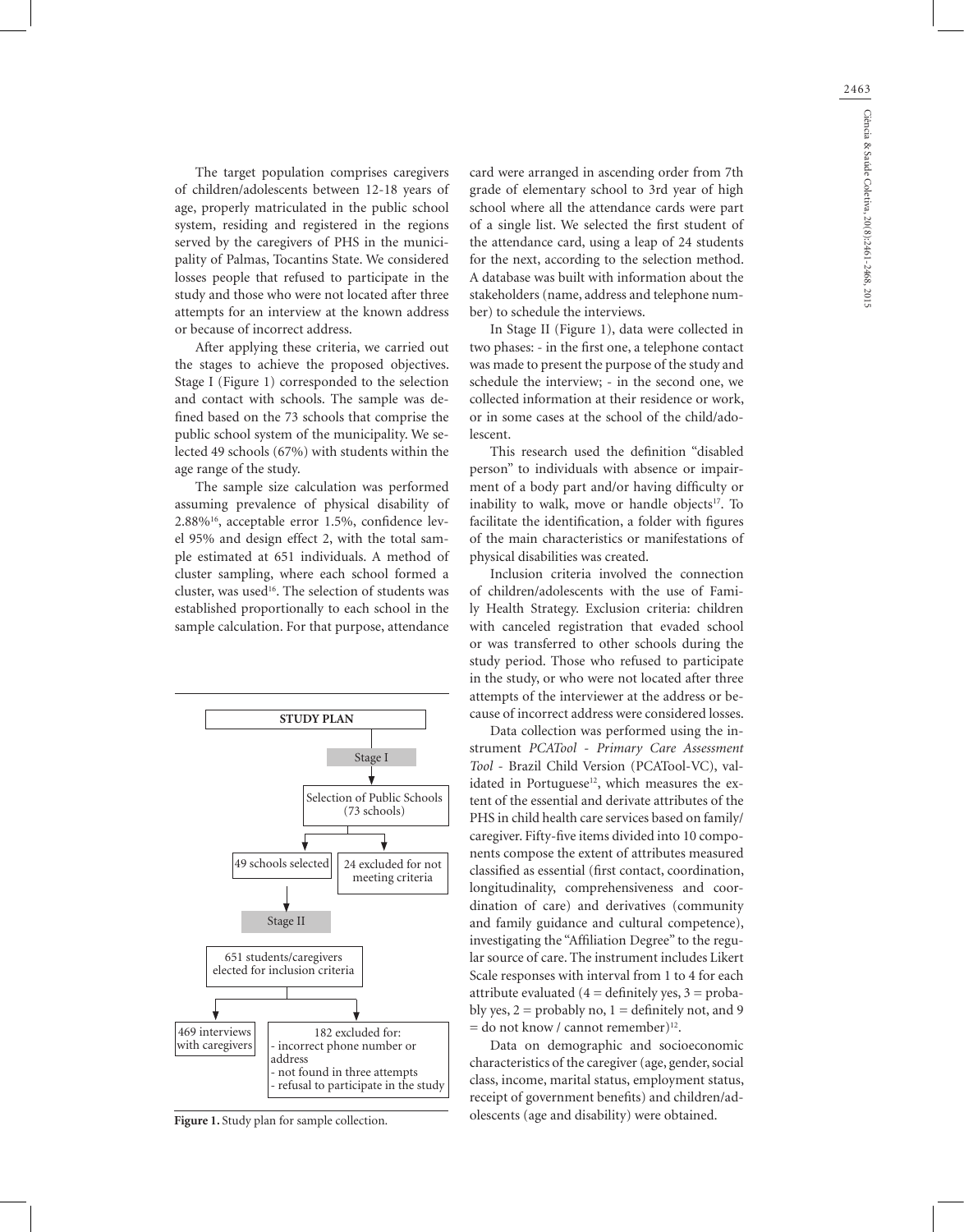The target population comprises caregivers of children/adolescents between 12-18 years of age, properly matriculated in the public school system, residing and registered in the regions served by the caregivers of PHS in the municipality of Palmas, Tocantins State. We considered losses people that refused to participate in the study and those who were not located after three attempts for an interview at the known address or because of incorrect address.

After applying these criteria, we carried out the stages to achieve the proposed objectives. Stage I (Figure 1) corresponded to the selection and contact with schools. The sample was defined based on the 73 schools that comprise the public school system of the municipality. We selected 49 schools (67%) with students within the age range of the study.

The sample size calculation was performed assuming prevalence of physical disability of 2.88%16, acceptable error 1.5%, confidence level 95% and design effect 2, with the total sample estimated at 651 individuals. A method of cluster sampling, where each school formed a cluster, was used<sup>16</sup>. The selection of students was established proportionally to each school in the sample calculation. For that purpose, attendance



card were arranged in ascending order from 7th grade of elementary school to 3rd year of high school where all the attendance cards were part of a single list. We selected the first student of the attendance card, using a leap of 24 students for the next, according to the selection method. A database was built with information about the stakeholders (name, address and telephone number) to schedule the interviews.

In Stage II (Figure 1), data were collected in two phases: - in the first one, a telephone contact was made to present the purpose of the study and schedule the interview; - in the second one, we collected information at their residence or work, or in some cases at the school of the child/adolescent.

This research used the definition "disabled person" to individuals with absence or impairment of a body part and/or having difficulty or inability to walk, move or handle objects<sup>17</sup>. To facilitate the identification, a folder with figures of the main characteristics or manifestations of physical disabilities was created.

Inclusion criteria involved the connection of children/adolescents with the use of Family Health Strategy. Exclusion criteria: children with canceled registration that evaded school or was transferred to other schools during the study period. Those who refused to participate in the study, or who were not located after three attempts of the interviewer at the address or because of incorrect address were considered losses.

Data collection was performed using the instrument *PCATool - Primary Care Assessment Tool* - Brazil Child Version (PCATool-VC), validated in Portuguese<sup>12</sup>, which measures the extent of the essential and derivate attributes of the PHS in child health care services based on family/ caregiver. Fifty-five items divided into 10 components compose the extent of attributes measured classified as essential (first contact, coordination, longitudinality, comprehensiveness and coordination of care) and derivatives (community and family guidance and cultural competence), investigating the "Affiliation Degree" to the regular source of care. The instrument includes Likert Scale responses with interval from 1 to 4 for each attribute evaluated  $(4 =$  definitely yes,  $3 =$  probably yes,  $2 =$  probably no,  $1 =$  definitely not, and 9  $=$  do not know / cannot remember)<sup>12</sup>.

Data on demographic and socioeconomic characteristics of the caregiver (age, gender, social class, income, marital status, employment status, receipt of government benefits) and children/ad-Figure 1. Study plan for sample collection. **Figure 1.** Study plan for sample collection.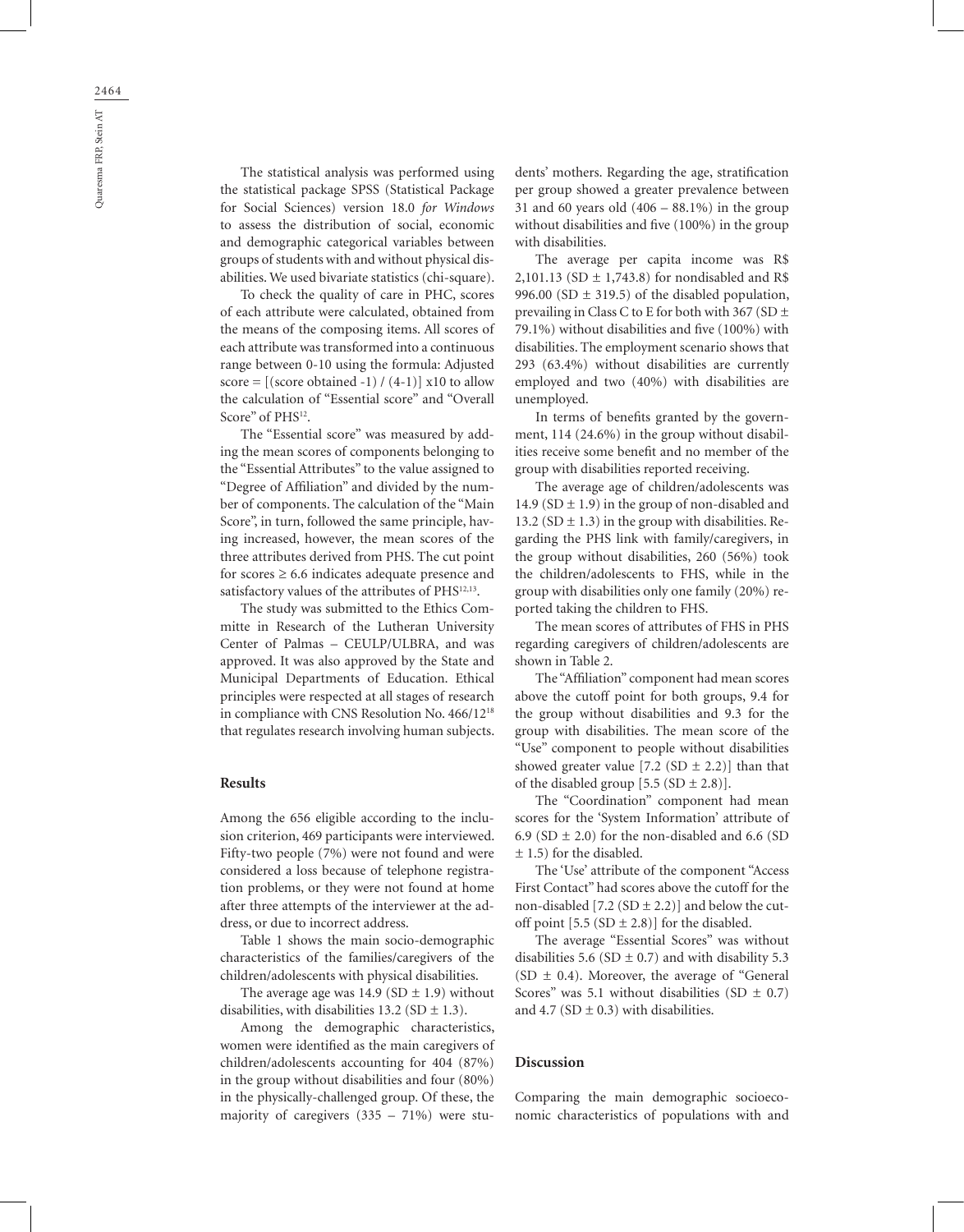The statistical analysis was performed using the statistical package SPSS (Statistical Package for Social Sciences) version 18.0 *for Windows* to assess the distribution of social, economic and demographic categorical variables between groups of students with and without physical disabilities. We used bivariate statistics (chi-square).

To check the quality of care in PHC, scores of each attribute were calculated, obtained from the means of the composing items. All scores of each attribute was transformed into a continuous range between 0-10 using the formula: Adjusted score =  $[(score obtained -1) / (4-1)]$  x10 to allow the calculation of "Essential score" and "Overall Score" of PHS<sup>12</sup>.

The "Essential score" was measured by adding the mean scores of components belonging to the "Essential Attributes" to the value assigned to "Degree of Affiliation" and divided by the number of components. The calculation of the "Main Score", in turn, followed the same principle, having increased, however, the mean scores of the three attributes derived from PHS. The cut point for scores  $\geq 6.6$  indicates adequate presence and satisfactory values of the attributes of PHS<sup>12,13</sup>.

The study was submitted to the Ethics Committe in Research of the Lutheran University Center of Palmas – CEULP/ULBRA, and was approved. It was also approved by the State and Municipal Departments of Education. Ethical principles were respected at all stages of research in compliance with CNS Resolution No. 466/1218 that regulates research involving human subjects.

#### **Results**

Among the 656 eligible according to the inclusion criterion, 469 participants were interviewed. Fifty-two people (7%) were not found and were considered a loss because of telephone registration problems, or they were not found at home after three attempts of the interviewer at the address, or due to incorrect address.

Table 1 shows the main socio-demographic characteristics of the families/caregivers of the children/adolescents with physical disabilities.

The average age was  $14.9$  (SD  $\pm$  1.9) without disabilities, with disabilities  $13.2$  (SD  $\pm$  1.3).

Among the demographic characteristics, women were identified as the main caregivers of children/adolescents accounting for 404 (87%) in the group without disabilities and four (80%) in the physically-challenged group. Of these, the majority of caregivers  $(335 - 71\%)$  were students' mothers. Regarding the age, stratification per group showed a greater prevalence between 31 and 60 years old (406 – 88.1%) in the group without disabilities and five (100%) in the group with disabilities.

The average per capita income was R\$ 2,101.13 (SD  $\pm$  1,743.8) for nondisabled and R\$ 996.00 (SD  $\pm$  319.5) of the disabled population, prevailing in Class C to E for both with 367 (SD ± 79.1%) without disabilities and five (100%) with disabilities. The employment scenario shows that 293 (63.4%) without disabilities are currently employed and two (40%) with disabilities are unemployed.

In terms of benefits granted by the government, 114 (24.6%) in the group without disabilities receive some benefit and no member of the group with disabilities reported receiving.

The average age of children/adolescents was 14.9 ( $SD \pm 1.9$ ) in the group of non-disabled and 13.2 (SD  $\pm$  1.3) in the group with disabilities. Regarding the PHS link with family/caregivers, in the group without disabilities, 260 (56%) took the children/adolescents to FHS, while in the group with disabilities only one family (20%) reported taking the children to FHS.

The mean scores of attributes of FHS in PHS regarding caregivers of children/adolescents are shown in Table 2.

The "Affiliation" component had mean scores above the cutoff point for both groups, 9.4 for the group without disabilities and 9.3 for the group with disabilities. The mean score of the "Use" component to people without disabilities showed greater value [7.2 (SD  $\pm$  2.2)] than that of the disabled group  $[5.5 (SD \pm 2.8)].$ 

The "Coordination" component had mean scores for the 'System Information' attribute of 6.9 (SD  $\pm$  2.0) for the non-disabled and 6.6 (SD ± 1.5) for the disabled.

The 'Use' attribute of the component "Access First Contact" had scores above the cutoff for the non-disabled  $[7.2 (SD  $\pm$  2.2)] and below the cut$ off point  $[5.5 (SD \pm 2.8)]$  for the disabled.

The average "Essential Scores" was without disabilities 5.6 (SD  $\pm$  0.7) and with disability 5.3 (SD  $\pm$  0.4). Moreover, the average of "General Scores" was 5.1 without disabilities (SD  $\pm$  0.7) and 4.7 ( $SD \pm 0.3$ ) with disabilities.

## **Discussion**

Comparing the main demographic socioeconomic characteristics of populations with and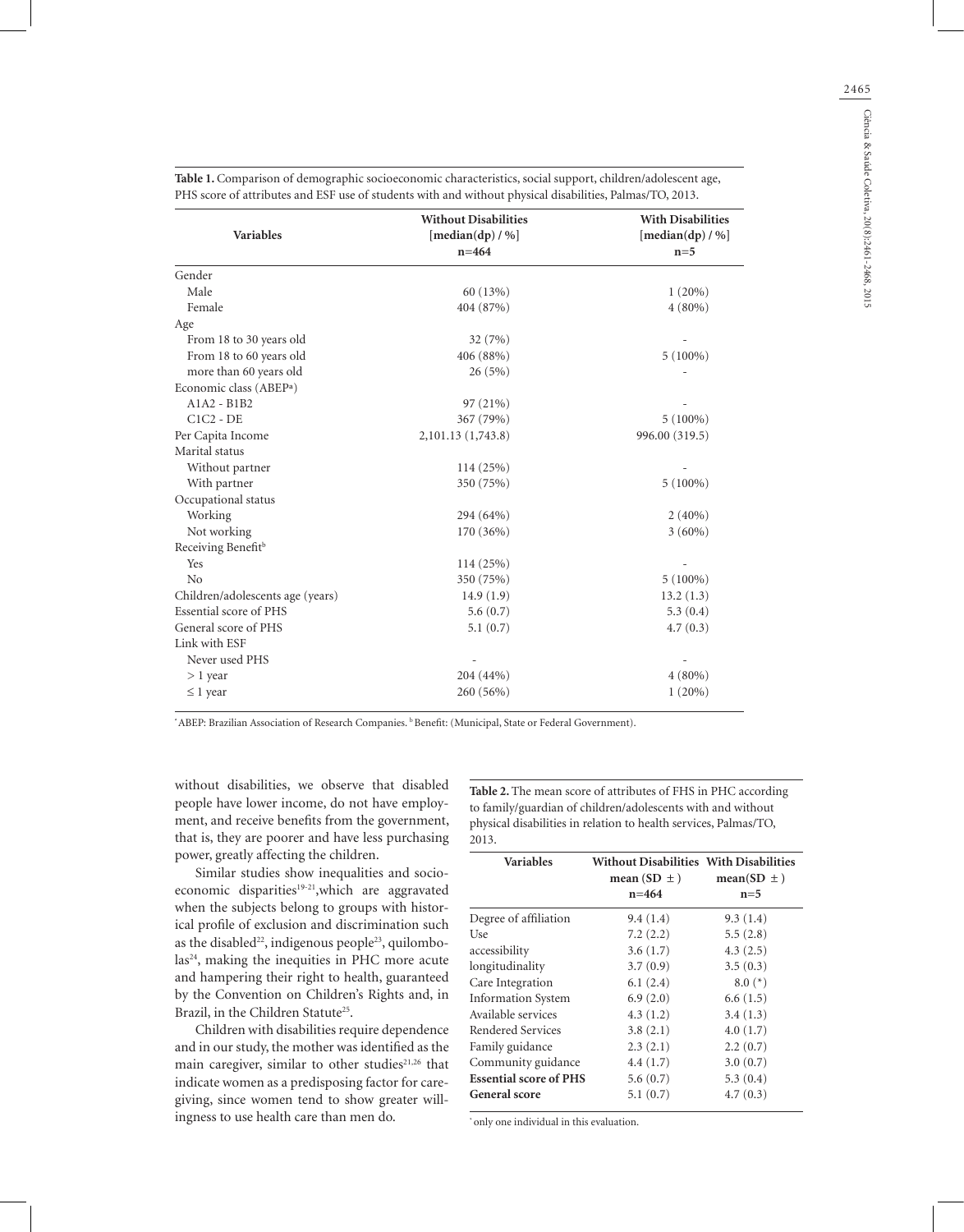| <b>Variables</b>                    | <b>Without Disabilities</b><br>[median(dp) / %]<br>$n = 464$ | <b>With Disabilities</b><br>$[median(dp)/\%]$<br>$n=5$ |
|-------------------------------------|--------------------------------------------------------------|--------------------------------------------------------|
|                                     |                                                              |                                                        |
| Male                                | 60 (13%)                                                     | $1(20\%)$                                              |
| Female                              | 404 (87%)                                                    | $4(80\%)$                                              |
| Age                                 |                                                              |                                                        |
| From 18 to 30 years old             | 32 (7%)                                                      |                                                        |
| From 18 to 60 years old             | 406 (88%)                                                    | $5(100\%)$                                             |
| more than 60 years old              | 26(5%)                                                       |                                                        |
| Economic class (ABEP <sup>a</sup> ) |                                                              |                                                        |
| $A1A2 - B1B2$                       | 97 (21%)                                                     |                                                        |
| $C1C2 - DE$                         | 367 (79%)                                                    | $5(100\%)$                                             |
| Per Capita Income                   | 2,101.13 (1,743.8)                                           | 996.00 (319.5)                                         |
| Marital status                      |                                                              |                                                        |
| Without partner                     | 114(25%)                                                     |                                                        |
| With partner                        | 350 (75%)                                                    | $5(100\%)$                                             |
| Occupational status                 |                                                              |                                                        |
| Working                             | 294 (64%)                                                    | $2(40\%)$                                              |
| Not working                         | 170 (36%)                                                    | $3(60\%)$                                              |
| Receiving Benefit <sup>b</sup>      |                                                              |                                                        |
| Yes                                 | 114 (25%)                                                    |                                                        |
| No                                  | 350 (75%)                                                    | $5(100\%)$                                             |
| Children/adolescents age (years)    | 14.9(1.9)                                                    | 13.2(1.3)                                              |
| <b>Essential score of PHS</b>       | 5.6(0.7)                                                     | 5.3(0.4)                                               |
| General score of PHS                | 5.1(0.7)                                                     | 4.7(0.3)                                               |
| Link with ESF                       |                                                              |                                                        |
| Never used PHS                      |                                                              |                                                        |
| $> 1$ year                          | 204 (44%)                                                    | $4(80\%)$                                              |
| $\leq 1$ year                       | 260 (56%)                                                    | 1(20%)                                                 |

**Table 1.** Comparison of demographic socioeconomic characteristics, social support, children/adolescent age, PHS score of attributes and ESF use of students with and without physical disabilities, Palmas/TO, 2013.

<sup>\*</sup> ABEP: Brazilian Association of Research Companies. <sup>b</sup> Benefit: (Municipal, State or Federal Government).

without disabilities, we observe that disabled people have lower income, do not have employment, and receive benefits from the government, that is, they are poorer and have less purchasing power, greatly affecting the children.

Similar studies show inequalities and socioeconomic disparities<sup>19-21</sup>, which are aggravated when the subjects belong to groups with historical profile of exclusion and discrimination such as the disabled<sup>22</sup>, indigenous people<sup>23</sup>, quilombolas<sup>24</sup>, making the inequities in PHC more acute and hampering their right to health, guaranteed by the Convention on Children's Rights and, in Brazil, in the Children Statute<sup>25</sup>.

Children with disabilities require dependence and in our study, the mother was identified as the main caregiver, similar to other studies<sup>21,26</sup> that indicate women as a predisposing factor for caregiving, since women tend to show greater willingness to use health care than men do.

**Table 2.** The mean score of attributes of FHS in PHC according to family/guardian of children/adolescents with and without physical disabilities in relation to health services, Palmas/TO, 2013.

| <b>Variables</b>              | <b>Without Disabilities With Disabilities</b><br>mean $(SD \pm)$<br>$n = 464$ | $mean(SD \pm)$<br>$n=5$ |
|-------------------------------|-------------------------------------------------------------------------------|-------------------------|
| Degree of affiliation         | 9.4(1.4)                                                                      | 9.3(1.4)                |
| Use                           | 7.2(2.2)                                                                      | 5.5(2.8)                |
| accessibility                 | 3.6(1.7)                                                                      | 4.3(2.5)                |
| longitudinality               | 3.7(0.9)                                                                      | 3.5(0.3)                |
| Care Integration              | 6.1(2.4)                                                                      | $8.0(*)$                |
| <b>Information System</b>     | 6.9(2.0)                                                                      | 6.6(1.5)                |
| Available services            | 4.3(1.2)                                                                      | 3.4(1.3)                |
| Rendered Services             | 3.8(2.1)                                                                      | 4.0(1.7)                |
| Family guidance               | 2.3(2.1)                                                                      | 2.2(0.7)                |
| Community guidance            | 4.4(1.7)                                                                      | 3.0(0.7)                |
| <b>Essential score of PHS</b> | 5.6(0.7)                                                                      | 5.3(0.4)                |
| <b>General score</b>          | 5.1(0.7)                                                                      | 4.7(0.3)                |

\* only one individual in this evaluation.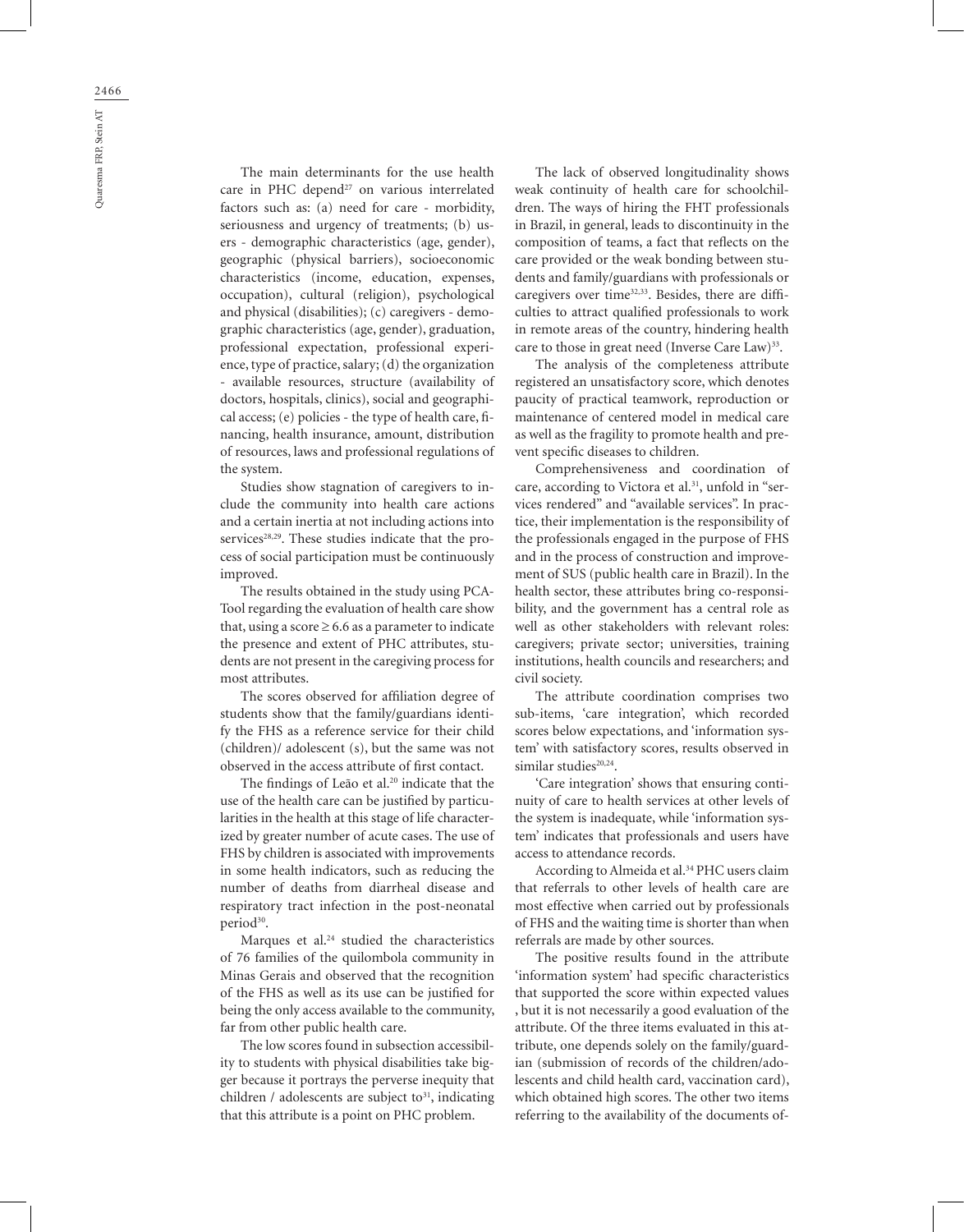The main determinants for the use health care in PHC depend<sup>27</sup> on various interrelated factors such as: (a) need for care - morbidity, seriousness and urgency of treatments; (b) users - demographic characteristics (age, gender), geographic (physical barriers), socioeconomic characteristics (income, education, expenses, occupation), cultural (religion), psychological and physical (disabilities); (c) caregivers - demographic characteristics (age, gender), graduation, professional expectation, professional experience, type of practice, salary; (d) the organization - available resources, structure (availability of doctors, hospitals, clinics), social and geographical access; (e) policies - the type of health care, financing, health insurance, amount, distribution of resources, laws and professional regulations of the system.

Studies show stagnation of caregivers to include the community into health care actions and a certain inertia at not including actions into services<sup>28,29</sup>. These studies indicate that the process of social participation must be continuously improved.

The results obtained in the study using PCA-Tool regarding the evaluation of health care show that, using a score  $\geq 6.6$  as a parameter to indicate the presence and extent of PHC attributes, students are not present in the caregiving process for most attributes.

The scores observed for affiliation degree of students show that the family/guardians identify the FHS as a reference service for their child (children)/ adolescent (s), but the same was not observed in the access attribute of first contact.

The findings of Leão et al.<sup>20</sup> indicate that the use of the health care can be justified by particularities in the health at this stage of life characterized by greater number of acute cases. The use of FHS by children is associated with improvements in some health indicators, such as reducing the number of deaths from diarrheal disease and respiratory tract infection in the post-neonatal period<sup>30</sup>.

Marques et al. $24$  studied the characteristics of 76 families of the quilombola community in Minas Gerais and observed that the recognition of the FHS as well as its use can be justified for being the only access available to the community, far from other public health care.

The low scores found in subsection accessibility to students with physical disabilities take bigger because it portrays the perverse inequity that children / adolescents are subject to $31$ , indicating that this attribute is a point on PHC problem.

The lack of observed longitudinality shows weak continuity of health care for schoolchildren. The ways of hiring the FHT professionals in Brazil, in general, leads to discontinuity in the composition of teams, a fact that reflects on the care provided or the weak bonding between students and family/guardians with professionals or caregivers over time<sup>32,33</sup>. Besides, there are difficulties to attract qualified professionals to work in remote areas of the country, hindering health care to those in great need (Inverse Care Law)<sup>33</sup>.

The analysis of the completeness attribute registered an unsatisfactory score, which denotes paucity of practical teamwork, reproduction or maintenance of centered model in medical care as well as the fragility to promote health and prevent specific diseases to children.

Comprehensiveness and coordination of care, according to Victora et al.<sup>31</sup>, unfold in "services rendered" and "available services". In practice, their implementation is the responsibility of the professionals engaged in the purpose of FHS and in the process of construction and improvement of SUS (public health care in Brazil). In the health sector, these attributes bring co-responsibility, and the government has a central role as well as other stakeholders with relevant roles: caregivers; private sector; universities, training institutions, health councils and researchers; and civil society.

The attribute coordination comprises two sub-items, 'care integration', which recorded scores below expectations, and 'information system' with satisfactory scores, results observed in similar studies<sup>20,24</sup>.

'Care integration' shows that ensuring continuity of care to health services at other levels of the system is inadequate, while 'information system' indicates that professionals and users have access to attendance records.

According to Almeida et al.34 PHC users claim that referrals to other levels of health care are most effective when carried out by professionals of FHS and the waiting time is shorter than when referrals are made by other sources.

The positive results found in the attribute 'information system' had specific characteristics that supported the score within expected values , but it is not necessarily a good evaluation of the attribute. Of the three items evaluated in this attribute, one depends solely on the family/guardian (submission of records of the children/adolescents and child health card, vaccination card), which obtained high scores. The other two items referring to the availability of the documents of-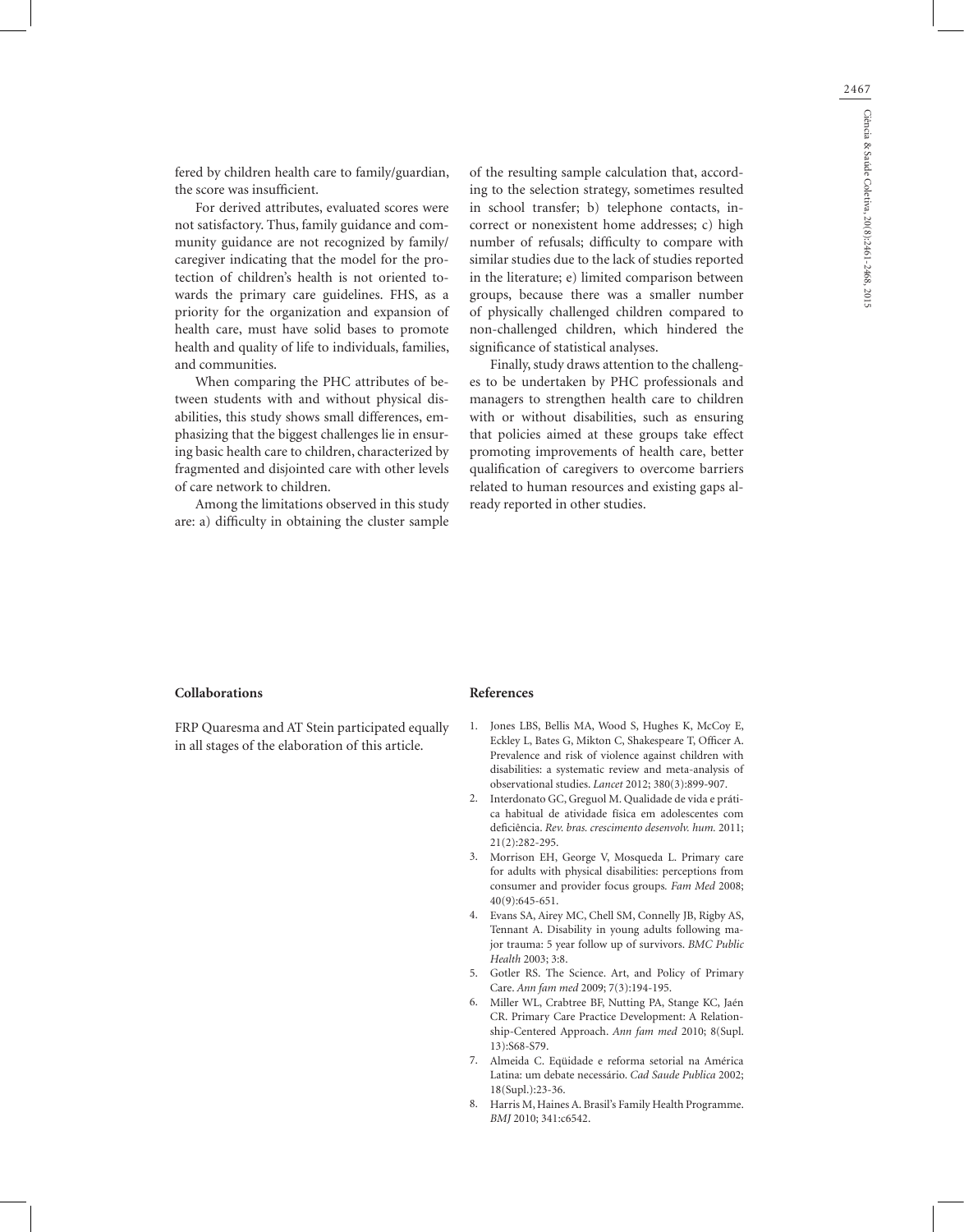fered by children health care to family/guardian, the score was insufficient.

For derived attributes, evaluated scores were not satisfactory. Thus, family guidance and community guidance are not recognized by family/ caregiver indicating that the model for the protection of children's health is not oriented towards the primary care guidelines. FHS, as a priority for the organization and expansion of health care, must have solid bases to promote health and quality of life to individuals, families, and communities.

When comparing the PHC attributes of between students with and without physical disabilities, this study shows small differences, emphasizing that the biggest challenges lie in ensuring basic health care to children, characterized by fragmented and disjointed care with other levels of care network to children.

Among the limitations observed in this study are: a) difficulty in obtaining the cluster sample of the resulting sample calculation that, according to the selection strategy, sometimes resulted in school transfer; b) telephone contacts, incorrect or nonexistent home addresses; c) high number of refusals; difficulty to compare with similar studies due to the lack of studies reported in the literature; e) limited comparison between groups, because there was a smaller number of physically challenged children compared to non-challenged children, which hindered the significance of statistical analyses.

Finally, study draws attention to the challenges to be undertaken by PHC professionals and managers to strengthen health care to children with or without disabilities, such as ensuring that policies aimed at these groups take effect promoting improvements of health care, better qualification of caregivers to overcome barriers related to human resources and existing gaps already reported in other studies.

## **Collaborations**

FRP Quaresma and AT Stein participated equally in all stages of the elaboration of this article.

#### **References**

- 1. Jones LBS, Bellis MA, Wood S, Hughes K, McCoy E, Eckley L, Bates G, Mikton C, Shakespeare T, Officer A. Prevalence and risk of violence against children with disabilities: a systematic review and meta-analysis of observational studies. *Lancet* 2012; 380(3):899-907.
- 2. Interdonato GC, Greguol M. Qualidade de vida e prática habitual de atividade física em adolescentes com deficiência. *Rev. bras. crescimento desenvolv. hum.* 2011; 21(2):282-295.
- 3. Morrison EH, George V, Mosqueda L. Primary care for adults with physical disabilities: perceptions from consumer and provider focus groups*. Fam Med* 2008; 40(9):645-651.
- Evans SA, Airey MC, Chell SM, Connelly JB, Rigby AS, 4. Tennant A. Disability in young adults following major trauma: 5 year follow up of survivors. *BMC Public Health* 2003; 3:8.
- 5. Gotler RS. The Science. Art, and Policy of Primary Care. *Ann fam med* 2009; 7(3):194-195.
- 6. Miller WL, Crabtree BF, Nutting PA, Stange KC, Jaén CR. Primary Care Practice Development: A Relationship-Centered Approach. *Ann fam med* 2010; 8(Supl. 13):S68-S79.
- Almeida C. Eqüidade e reforma setorial na América 7. Latina: um debate necessário. *Cad Saude Publica* 2002; 18(Supl.):23-36.
- Harris M, Haines A. Brasil's Family Health Programme. 8.*BMJ* 2010; 341:c6542.